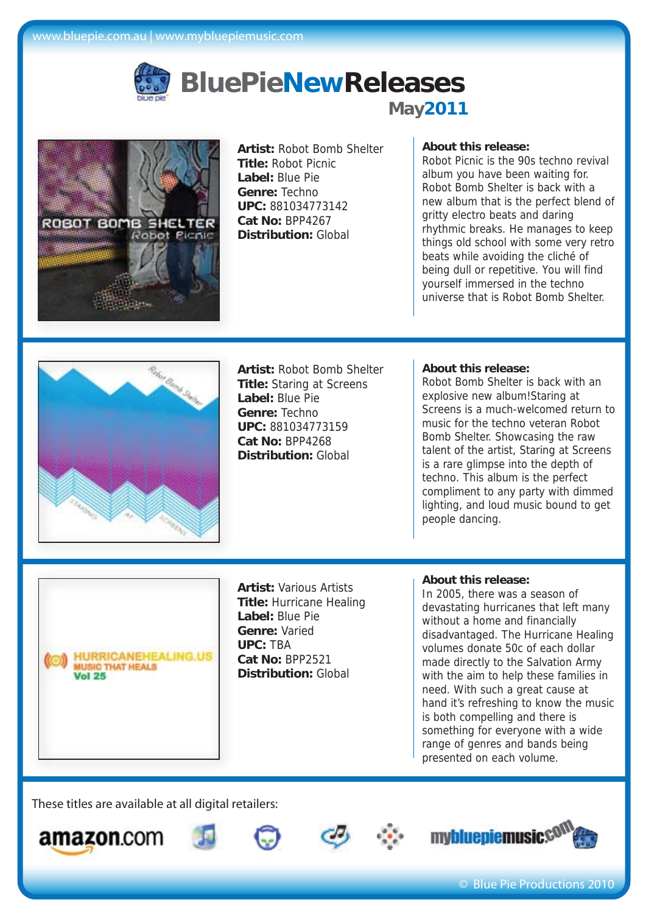

# **BluePieNewReleases May2011**



**Artist:** Robot Bomb Shelter **Title:** Robot Picnic **Label:** Blue Pie **Genre:** Techno **UPC:** 881034773142 **Cat No:** BPP4267 **Distribution:** Global

# **About this release:**

Robot Picnic is the 90s techno revival album you have been waiting for. Robot Bomb Shelter is back with a new album that is the perfect blend of gritty electro beats and daring rhythmic breaks. He manages to keep things old school with some very retro beats while avoiding the cliché of being dull or repetitive. You will find yourself immersed in the techno universe that is Robot Bomb Shelter.



**Artist:** Robot Bomb Shelter **Title:** Staring at Screens **Label:** Blue Pie **Genre:** Techno **UPC:** 881034773159 **Cat No:** BPP4268 **Distribution:** Global

## **About this release:**

Robot Bomb Shelter is back with an explosive new album!Staring at Screens is a much-welcomed return to music for the techno veteran Robot Bomb Shelter. Showcasing the raw talent of the artist, Staring at Screens is a rare glimpse into the depth of techno. This album is the perfect compliment to any party with dimmed lighting, and loud music bound to get people dancing.

**HURRICANEHEALING.US MUSIC THAT HEALS Vol. 25** 

**Artist:** Various Artists **Title:** Hurricane Healing **Label:** Blue Pie **Genre:** Varied **UPC:** TBA **Cat No:** BPP2521 **Distribution:** Global

## **About this release:**

In 2005, there was a season of devastating hurricanes that left many without a home and financially disadvantaged. The Hurricane Healing volumes donate 50c of each dollar made directly to the Salvation Army with the aim to help these families in need. With such a great cause at hand it's refreshing to know the music is both compelling and there is something for everyone with a wide range of genres and bands being presented on each volume.











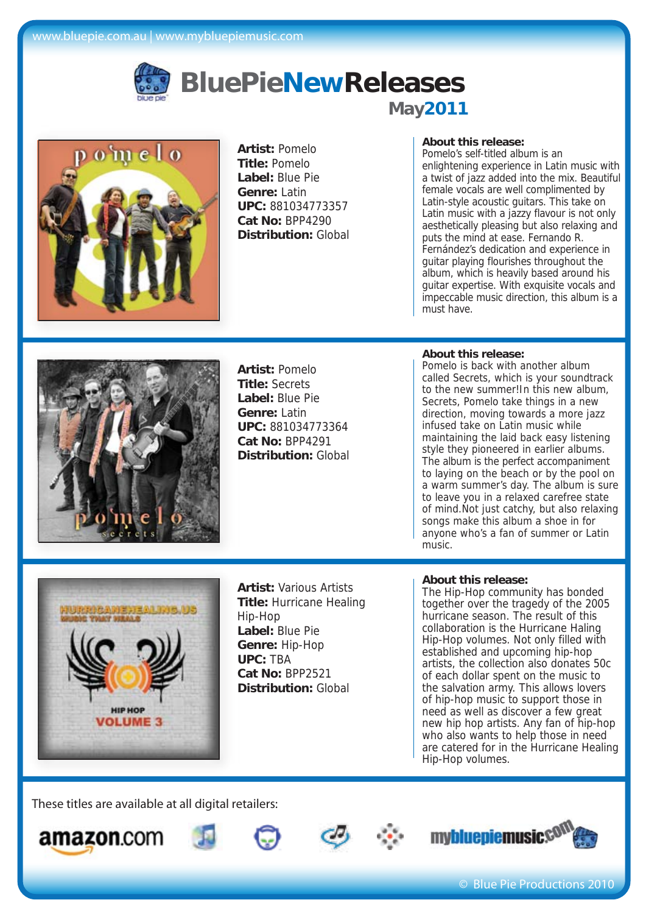

# **BluePieNewReleases May2011**



**Artist:** Pomelo **Title:** Pomelo **Label:** Blue Pie **Genre:** Latin **UPC:** 881034773357 **Cat No:** BPP4290 **Distribution:** Global

# **About this release:**

Pomelo's self-titled album is an enlightening experience in Latin music with a twist of jazz added into the mix. Beautiful female vocals are well complimented by Latin-style acoustic guitars. This take on Latin music with a jazzy flavour is not only aesthetically pleasing but also relaxing and puts the mind at ease. Fernando R. Fernández's dedication and experience in guitar playing flourishes throughout the album, which is heavily based around his guitar expertise. With exquisite vocals and impeccable music direction, this album is a must have.



**Artist:** Pomelo **Title:** Secrets **Label:** Blue Pie **Genre:** Latin **UPC:** 881034773364 **Cat No:** BPP4291 **Distribution:** Global

#### **About this release:**

Pomelo is back with another album called Secrets, which is your soundtrack to the new summer!In this new album, Secrets, Pomelo take things in a new direction, moving towards a more jazz infused take on Latin music while maintaining the laid back easy listening style they pioneered in earlier albums. The album is the perfect accompaniment to laying on the beach or by the pool on a warm summer's day. The album is sure to leave you in a relaxed carefree state of mind.Not just catchy, but also relaxing songs make this album a shoe in for anyone who's a fan of summer or Latin music.



**Artist:** Various Artists **Title:** Hurricane Healing Hip-Hop **Label:** Blue Pie **Genre:** Hip-Hop **UPC:** TBA **Cat No:** BPP2521 **Distribution:** Global

#### **About this release:**

The Hip-Hop community has bonded together over the tragedy of the 2005 hurricane season. The result of this collaboration is the Hurricane Haling Hip-Hop volumes. Not only filled with established and upcoming hip-hop artists, the collection also donates 50c of each dollar spent on the music to the salvation army. This allows lovers of hip-hop music to support those in need as well as discover a few great new hip hop artists. Any fan of hip-hop who also wants to help those in need are catered for in the Hurricane Healing Hip-Hop volumes.









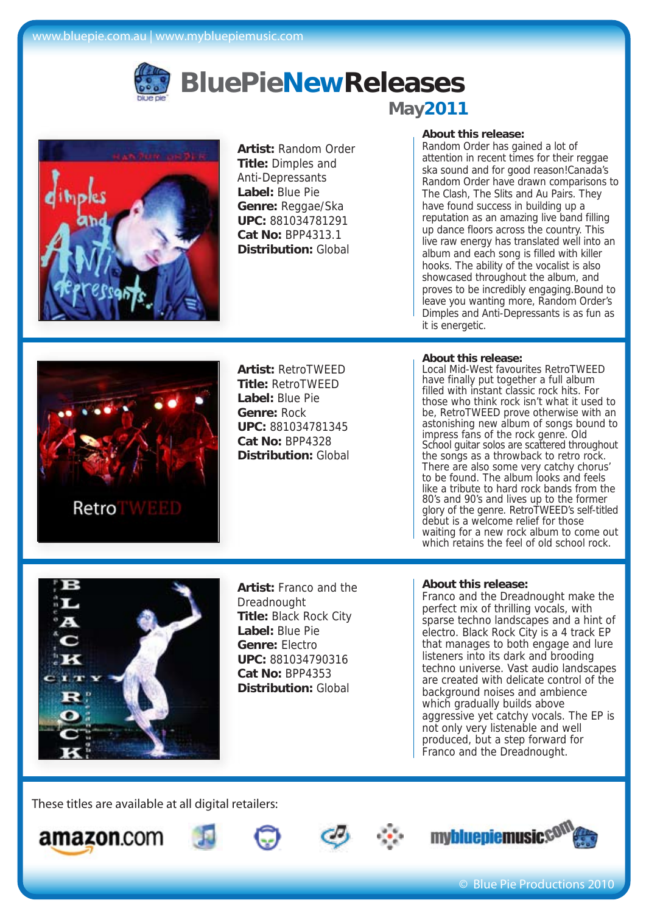

# **BluePieNewReleases May2011**



**Artist:** Random Order **Title:** Dimples and Anti-Depressants **Label:** Blue Pie **Genre:** Reggae/Ska **UPC:** 881034781291 **Cat No:** BPP4313.1 **Distribution:** Global

## **About this release:**

Random Order has gained a lot of attention in recent times for their reggae ska sound and for good reason!Canada's Random Order have drawn comparisons to The Clash, The Slits and Au Pairs. They have found success in building up a reputation as an amazing live band filling up dance floors across the country. This live raw energy has translated well into an album and each song is filled with killer hooks. The ability of the vocalist is also showcased throughout the album, and proves to be incredibly engaging.Bound to leave you wanting more, Random Order's Dimples and Anti-Depressants is as fun as it is energetic.



**Artist:** RetroTWEED **Title:** RetroTWEED **Label:** Blue Pie **Genre:** Rock **UPC:** 881034781345 **Cat No:** BPP4328 **Distribution:** Global

## **About this release:**

Local Mid-West favourites RetroTWEED have finally put together a full album filled with instant classic rock hits. For those who think rock isn't what it used to be, RetroTWEED prove otherwise with an astonishing new album of songs bound to impress fans of the rock genre. Old School guitar solos are scattered throughout the songs as a throwback to retro rock. There are also some very catchy chorus' to be found. The album looks and feels like a tribute to hard rock bands from the 80's and 90's and lives up to the former glory of the genre. RetroTWEED's self-titled debut is a welcome relief for those waiting for a new rock album to come out which retains the feel of old school rock.



**Artist:** Franco and the Dreadnought **Title:** Black Rock City **Label:** Blue Pie **Genre:** Electro **UPC:** 881034790316 **Cat No:** BPP4353 **Distribution:** Global

#### **About this release:**

Franco and the Dreadnought make the perfect mix of thrilling vocals, with sparse techno landscapes and a hint of electro. Black Rock City is a 4 track EP that manages to both engage and lure listeners into its dark and brooding techno universe. Vast audio landscapes are created with delicate control of the background noises and ambience which gradually builds above aggressive yet catchy vocals. The EP is not only very listenable and well produced, but a step forward for Franco and the Dreadnought.